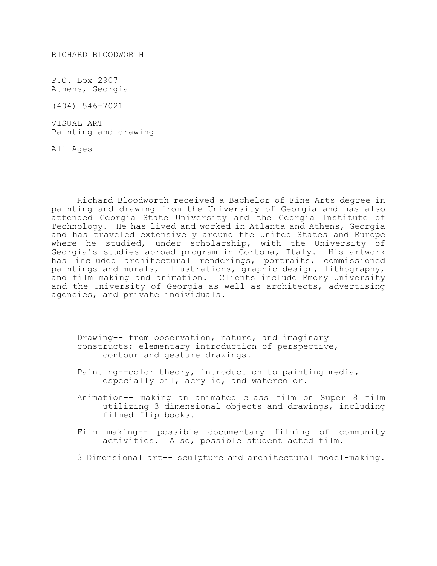RICHARD BLOODWORTH

P.O. Box 2907 Athens, Georgia

(404) 546-7021

VISUAL ART Painting and drawing

All Ages

Richard Bloodworth received a Bachelor of Fine Arts degree in painting and drawing from the University of Georgia and has also attended Georgia State University and the Georgia Institute of Technology. He has lived and worked in Atlanta and Athens, Georgia and has traveled extensively around the United States and Europe where he studied, under scholarship, with the University of Georgia's studies abroad program in Cortona, Italy. His artwork has included architectural renderings, portraits, commissioned paintings and murals, illustrations, graphic design, lithography, and film making and animation. Clients include Emory University and the University of Georgia as well as architects, advertising agencies, and private individuals.

Drawing-- from observation, nature, and imaginary constructs; elementary introduction of perspective, contour and gesture drawings.

- Painting--color theory, introduction to painting media, especially oil, acrylic, and watercolor.
- Animation-- making an animated class film on Super 8 film utilizing 3 dimensional objects and drawings, including filmed flip books.
- Film making-- possible documentary filming of community activities. Also, possible student acted film.
- 3 Dimensional art-- sculpture and architectural model-making.